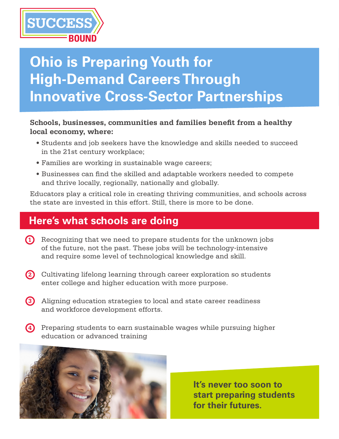

# **Ohio is Preparing Youth for High-Demand Careers Through Innovative Cross-Sector Partnerships**

#### **Schools, businesses, communities and families benefit from a healthy local economy, where:**

- Students and job seekers have the knowledge and skills needed to succeed in the 21st century workplace;
- Families are working in sustainable wage careers;
- Businesses can find the skilled and adaptable workers needed to compete and thrive locally, regionally, nationally and globally.

Educators play a critical role in creating thriving communities, and schools across the state are invested in this effort. Still, there is more to be done.

### **Here's what schools are doing**

- **1** Recognizing that we need to prepare students for the unknown jobs of the future, not the past. These jobs will be technology-intensive and require some level of technological knowledge and skill.
- Cultivating lifelong learning through career exploration so students **2** enter college and higher education with more purpose.
- Aligning education strategies to local and state career readiness **3** and workforce development efforts.
- Preparing students to earn sustainable wages while pursuing higher **4**education or advanced training



**It's never too soon to start preparing students for their futures.**